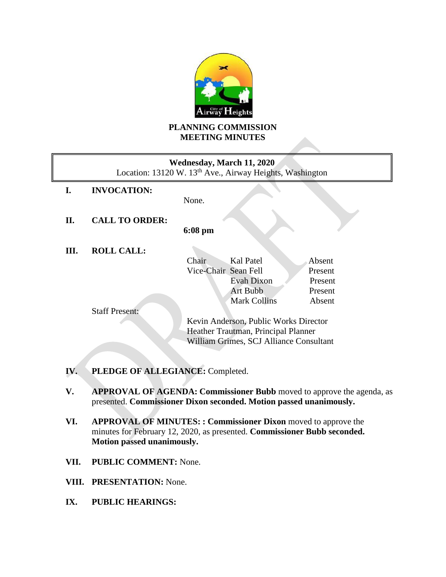

# **PLANNING COMMISSION MEETING MINUTES**

| Wednesday, March 11, 2020<br>Location: 13120 W. 13 <sup>th</sup> Ave., Airway Heights, Washington |                       |                                         |         |  |
|---------------------------------------------------------------------------------------------------|-----------------------|-----------------------------------------|---------|--|
| I.                                                                                                | <b>INVOCATION:</b>    |                                         |         |  |
|                                                                                                   |                       | None.                                   |         |  |
| П.                                                                                                | <b>CALL TO ORDER:</b> |                                         |         |  |
|                                                                                                   |                       | $6:08 \text{ pm}$                       |         |  |
| III.                                                                                              | <b>ROLL CALL:</b>     |                                         |         |  |
|                                                                                                   |                       | Kal Patel<br>Chair                      | Absent  |  |
|                                                                                                   |                       | Vice-Chair Sean Fell                    | Present |  |
|                                                                                                   |                       | Evah Dixon                              | Present |  |
|                                                                                                   |                       | <b>Art Bubb</b>                         | Present |  |
|                                                                                                   |                       | <b>Mark Collins</b>                     | Absent  |  |
|                                                                                                   | <b>Staff Present:</b> |                                         |         |  |
|                                                                                                   |                       | Kevin Anderson, Public Works Director   |         |  |
|                                                                                                   |                       | Heather Trautman, Principal Planner     |         |  |
|                                                                                                   |                       | William Grimes, SCJ Alliance Consultant |         |  |
|                                                                                                   |                       |                                         |         |  |
|                                                                                                   |                       |                                         |         |  |

- **IV. PLEDGE OF ALLEGIANCE:** Completed.
- **V. APPROVAL OF AGENDA: Commissioner Bubb** moved to approve the agenda, as presented. **Commissioner Dixon seconded. Motion passed unanimously.**
- **VI. APPROVAL OF MINUTES: : Commissioner Dixon** moved to approve the minutes for February 12, 2020, as presented. **Commissioner Bubb seconded. Motion passed unanimously.**
- **VII. PUBLIC COMMENT:** None.
- **VIII. PRESENTATION:** None.
- **IX. PUBLIC HEARINGS:**